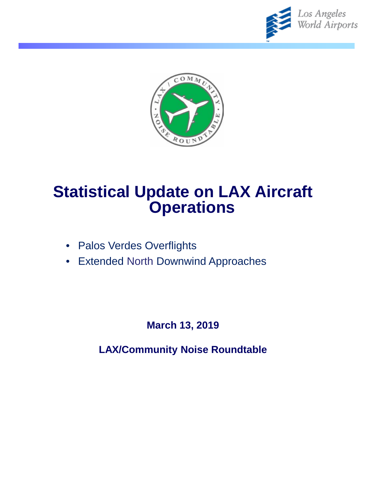



# **Statistical Update on LAX Aircraft Operations**

- Palos Verdes Overflights
- Extended North Downwind Approaches

**March 13, 2019**

**LAX/Community Noise Roundtable**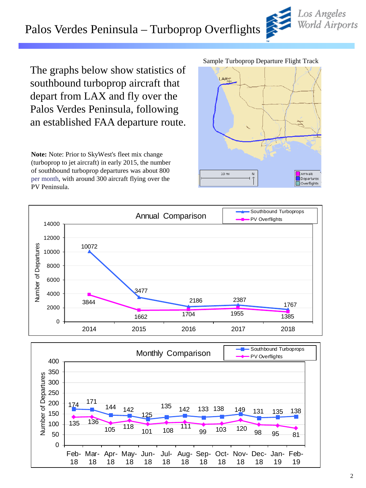### Palos Verdes Peninsula – Turboprop Overflights

The graphs below show statistics of southbound turboprop aircraft that depart from LAX and fly over the Palos Verdes Peninsula, following an established FAA departure route.

**Note:** Note: Prior to SkyWest's fleet mix change (turboprop to jet aircraft) in early 2015, the number of southbound turboprop departures was about 800 per month, with around 300 aircraft flying over the PV Peninsula.

#### Sample Turboprop Departure Flight Track

LAXT

 $10 \, \text{mi}$ 



 $\overline{N}$ 







Arrivals Departures Overflights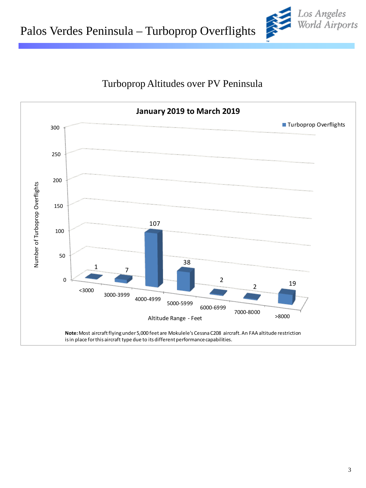



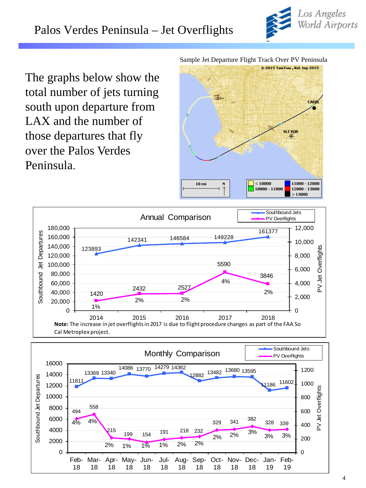

The graphs below show the total number of jets turning south upon departure from LAX and the number of those departures that fly over the Palos Verdes Peninsula.

Sample Jet Departure Flight Track Over PV Peninsula





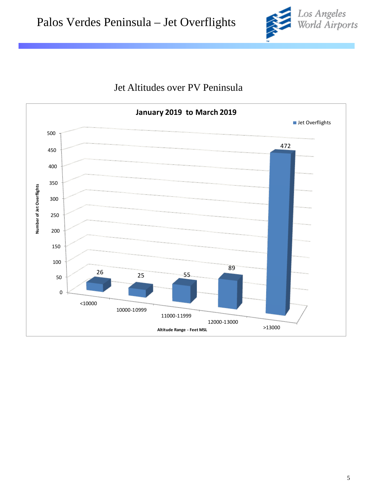



### Jet Altitudes over PV Peninsula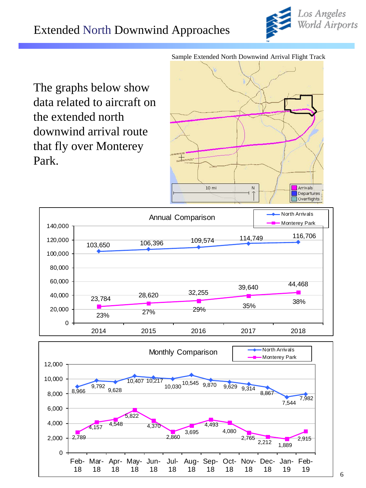

The graphs below show data related to aircraft on the extended north downwind arrival route that fly over Monterey Park.